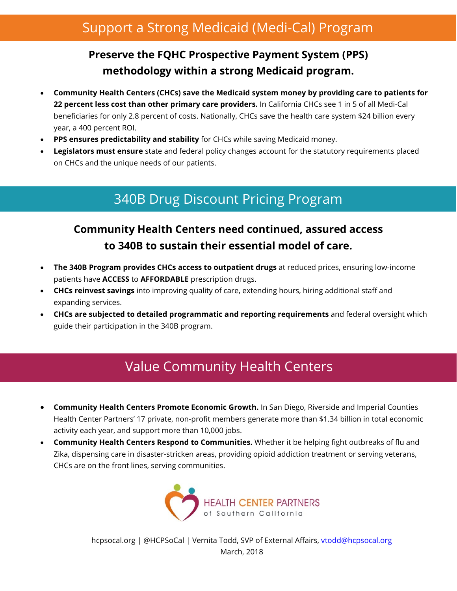## **Preserve the FQHC Prospective Payment System (PPS) methodology within a strong Medicaid program.**

- **Community Health Centers (CHCs) save the Medicaid system money by providing care to patients for 22 percent less cost than other primary care providers.** In California CHCs see 1 in 5 of all Medi-Cal beneficiaries for only 2.8 percent of costs. Nationally, CHCs save the health care system \$24 billion every year, a 400 percent ROI.
- **PPS ensures predictability and stability** for CHCs while saving Medicaid money.
- **Legislators must ensure** state and federal policy changes account for the statutory requirements placed on CHCs and the unique needs of our patients.

# 340B Drug Discount Pricing Program

### **Community Health Centers need continued, assured access to 340B to sustain their essential model of care.**

- **The 340B Program provides CHCs access to outpatient drugs** at reduced prices, ensuring low-income patients have **ACCESS** to **AFFORDABLE** prescription drugs.
- **CHCs reinvest savings** into improving quality of care, extending hours, hiring additional staff and expanding services.
- **CHCs are subjected to detailed programmatic and reporting requirements** and federal oversight which guide their participation in the 340B program.

# Value Community Health Centers

- **Community Health Centers Promote Economic Growth.** In San Diego, Riverside and Imperial Counties Health Center Partners' 17 private, non-profit members generate more than \$1.34 billion in total economic activity each year, and support more than 10,000 jobs.
- **Community Health Centers Respond to Communities.** Whether it be helping fight outbreaks of flu and Zika, dispensing care in disaster-stricken areas, providing opioid addiction treatment or serving veterans, CHCs are on the front lines, serving communities.



hcpsocal.org | @HCPSoCal | Vernita Todd, SVP of External Affairs, [vtodd@hcpsocal.org](mailto:vtodd@hcpsocal.org) March, 2018